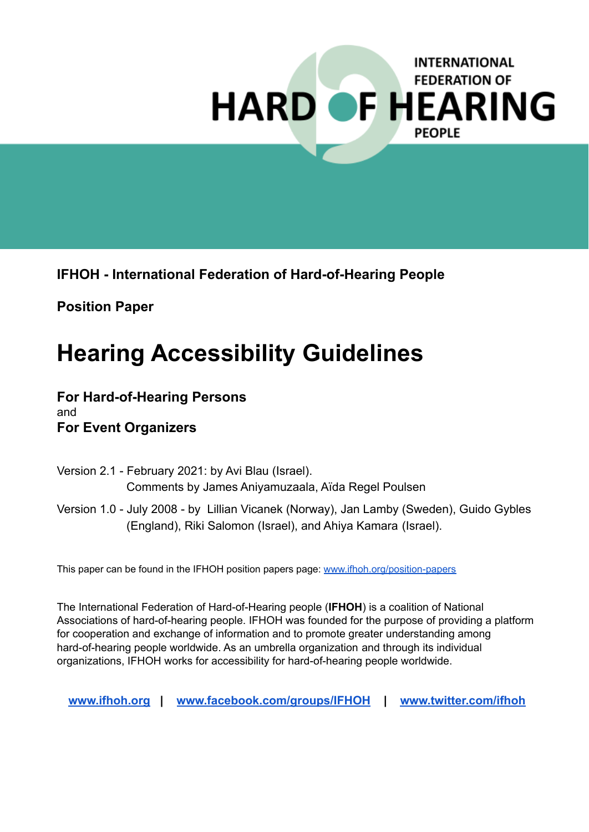# **INTERNATIONAL FEDERATION OF HARD OF HEARING PEOPLE**

**IFHOH - International Federation of Hard-of-Hearing People**

**Position Paper**

# **Hearing Accessibility Guidelines**

#### **For Hard-of-Hearing Persons** and **For Event Organizers**

- Version 2.1 February 2021: by Avi Blau (Israel). Comments by James Aniyamuzaala, Aïda Regel Poulsen
- Version 1.0 July 2008 by Lillian Vicanek (Norway), Jan Lamby (Sweden), Guido Gybles (England), Riki Salomon (Israel), and Ahiya Kamara (Israel).

This paper can be found in the IFHOH position papers page: [www.ifhoh.org/position-papers](http://www.ifhoh.org/position-papers)

The International Federation of Hard-of-Hearing people (**IFHOH**) is a coalition of National Associations of hard-of-hearing people. IFHOH was founded for the purpose of providing a platform for cooperation and exchange of information and to promote greater understanding among hard-of-hearing people worldwide. As an umbrella organization and through its individual organizations, IFHOH works for accessibility for hard-of-hearing people worldwide.

**[www.ifhoh.org](http://www.ifhoh.org) | [www.facebook.com/groups/IFHOH](http://www.facebook.com/groups/IFHOH) | [www.twitter.com/ifhoh](http://www.twitter.com/ifhoh)**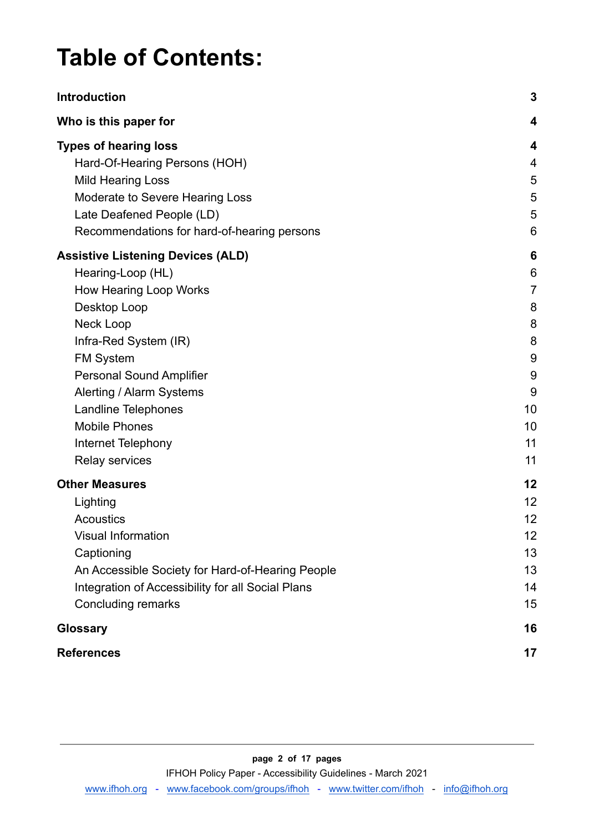# **Table of Contents:**

| <b>Introduction</b>                                                                                                                                                                                                                                                                                                                   | $\mathbf{3}$                                                      |
|---------------------------------------------------------------------------------------------------------------------------------------------------------------------------------------------------------------------------------------------------------------------------------------------------------------------------------------|-------------------------------------------------------------------|
| Who is this paper for                                                                                                                                                                                                                                                                                                                 | 4                                                                 |
| <b>Types of hearing loss</b><br>Hard-Of-Hearing Persons (HOH)<br><b>Mild Hearing Loss</b><br>Moderate to Severe Hearing Loss<br>Late Deafened People (LD)<br>Recommendations for hard-of-hearing persons                                                                                                                              | 4<br>4<br>5<br>5<br>5<br>6                                        |
| <b>Assistive Listening Devices (ALD)</b><br>Hearing-Loop (HL)<br>How Hearing Loop Works<br>Desktop Loop<br>Neck Loop<br>Infra-Red System (IR)<br><b>FM System</b><br><b>Personal Sound Amplifier</b><br>Alerting / Alarm Systems<br><b>Landline Telephones</b><br><b>Mobile Phones</b><br>Internet Telephony<br><b>Relay services</b> | 6<br>6<br>7<br>8<br>8<br>8<br>9<br>9<br>9<br>10<br>10<br>11<br>11 |
| <b>Other Measures</b><br>Lighting<br><b>Acoustics</b><br>Visual Information<br>Captioning<br>An Accessible Society for Hard-of-Hearing People<br>Integration of Accessibility for all Social Plans<br><b>Concluding remarks</b>                                                                                                       | 12<br>12<br>12<br>12<br>13<br>13<br>14<br>15                      |
| <b>Glossary</b>                                                                                                                                                                                                                                                                                                                       | 16                                                                |
| <b>References</b>                                                                                                                                                                                                                                                                                                                     | 17                                                                |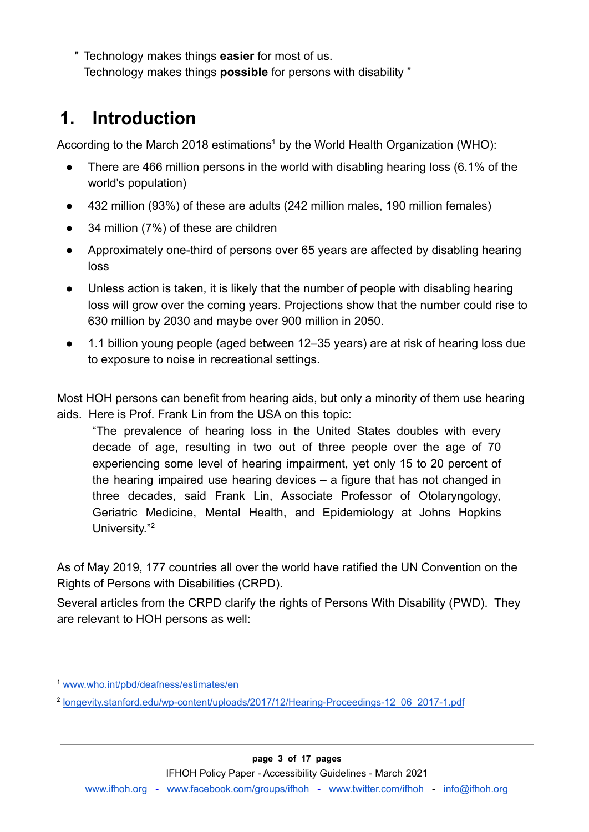" Technology makes things **easier** for most of us. Technology makes things **possible** for persons with disability "

## <span id="page-2-0"></span>**1. Introduction**

According to the March 2018 estimations<sup>1</sup> by the World Health Organization (WHO):

- There are 466 million persons in the world with disabling hearing loss (6.1% of the world's population)
- 432 million (93%) of these are adults (242 million males, 190 million females)
- 34 million (7%) of these are children
- Approximately one-third of persons over 65 years are affected by disabling hearing loss
- Unless action is taken, it is likely that the number of people with disabling hearing loss will grow over the coming years. Projections show that the number could rise to 630 million by 2030 and maybe over 900 million in 2050.
- 1.1 billion young people (aged between 12–35 years) are at risk of hearing loss due to exposure to noise in recreational settings.

Most HOH persons can benefit from hearing aids, but only a minority of them use hearing aids. Here is Prof. Frank Lin from the USA on this topic:

"The prevalence of hearing loss in the United States doubles with every decade of age, resulting in two out of three people over the age of 70 experiencing some level of hearing impairment, yet only 15 to 20 percent of the hearing impaired use hearing devices – a figure that has not changed in three decades, said Frank Lin, Associate Professor of Otolaryngology, Geriatric Medicine, Mental Health, and Epidemiology at Johns Hopkins University."<sup>2</sup>

As of May 2019, 177 countries all over the world have ratified the UN Convention on the Rights of Persons with Disabilities (CRPD).

Several articles from the CRPD clarify the rights of Persons With Disability (PWD). They are relevant to HOH persons as well:

<sup>1</sup> [www.who.int/pbd/deafness/estimates/en](http://www.who.int/pbd/deafness/estimates/en)

<sup>&</sup>lt;sup>2</sup> [longevity.stanford.edu/wp-content/uploads/2017/12/Hearing-Proceedings-12\\_06\\_2017-1.pdf](http://longevity.stanford.edu/wp-content/uploads/2017/12/Hearing-Proceedings-12_06_2017-1.pdf)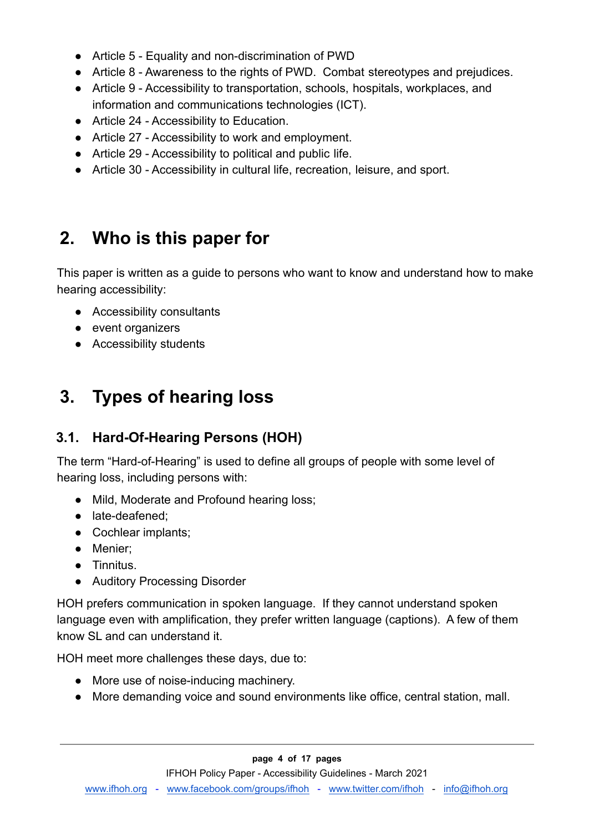- Article 5 Equality and non-discrimination of PWD
- Article 8 Awareness to the rights of PWD. Combat stereotypes and prejudices.
- Article 9 Accessibility to transportation, schools, hospitals, workplaces, and information and communications technologies (ICT).
- Article 24 Accessibility to Education.
- Article 27 Accessibility to work and employment.
- Article 29 Accessibility to political and public life.
- Article 30 Accessibility in cultural life, recreation, leisure, and sport.

## <span id="page-3-0"></span>**2. Who is this paper for**

This paper is written as a guide to persons who want to know and understand how to make hearing accessibility:

- Accessibility consultants
- event organizers
- Accessibility students

# <span id="page-3-1"></span>**3. Types of hearing loss**

#### <span id="page-3-2"></span>**3.1. Hard-Of-Hearing Persons (HOH)**

The term "Hard-of-Hearing" is used to define all groups of people with some level of hearing loss, including persons with:

- Mild, Moderate and Profound hearing loss;
- late-deafened:
- Cochlear implants;
- Menier;
- Tinnitus.
- Auditory Processing Disorder

HOH prefers communication in spoken language. If they cannot understand spoken language even with amplification, they prefer written language (captions). A few of them know SL and can understand it.

HOH meet more challenges these days, due to:

- More use of noise-inducing machinery.
- More demanding voice and sound environments like office, central station, mall.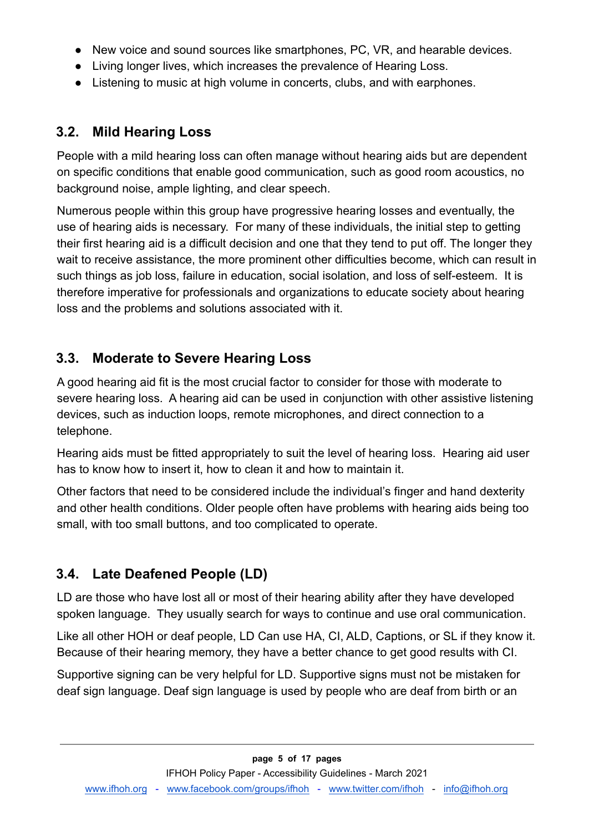- New voice and sound sources like smartphones, PC, VR, and hearable devices.
- Living longer lives, which increases the prevalence of Hearing Loss.
- Listening to music at high volume in concerts, clubs, and with earphones.

#### <span id="page-4-0"></span>**3.2. Mild Hearing Loss**

People with a mild hearing loss can often manage without hearing aids but are dependent on specific conditions that enable good communication, such as good room acoustics, no background noise, ample lighting, and clear speech.

Numerous people within this group have progressive hearing losses and eventually, the use of hearing aids is necessary. For many of these individuals, the initial step to getting their first hearing aid is a difficult decision and one that they tend to put off. The longer they wait to receive assistance, the more prominent other difficulties become, which can result in such things as job loss, failure in education, social isolation, and loss of self-esteem. It is therefore imperative for professionals and organizations to educate society about hearing loss and the problems and solutions associated with it.

#### <span id="page-4-1"></span>**3.3. Moderate to Severe Hearing Loss**

A good hearing aid fit is the most crucial factor to consider for those with moderate to severe hearing loss. A hearing aid can be used in conjunction with other assistive listening devices, such as induction loops, remote microphones, and direct connection to a telephone.

Hearing aids must be fitted appropriately to suit the level of hearing loss. Hearing aid user has to know how to insert it, how to clean it and how to maintain it.

Other factors that need to be considered include the individual's finger and hand dexterity and other health conditions. Older people often have problems with hearing aids being too small, with too small buttons, and too complicated to operate.

#### <span id="page-4-2"></span>**3.4. Late Deafened People (LD)**

LD are those who have lost all or most of their hearing ability after they have developed spoken language. They usually search for ways to continue and use oral communication.

Like all other HOH or deaf people, LD Can use HA, CI, ALD, Captions, or SL if they know it. Because of their hearing memory, they have a better chance to get good results with CI.

Supportive signing can be very helpful for LD. Supportive signs must not be mistaken for deaf sign language. Deaf sign language is used by people who are deaf from birth or an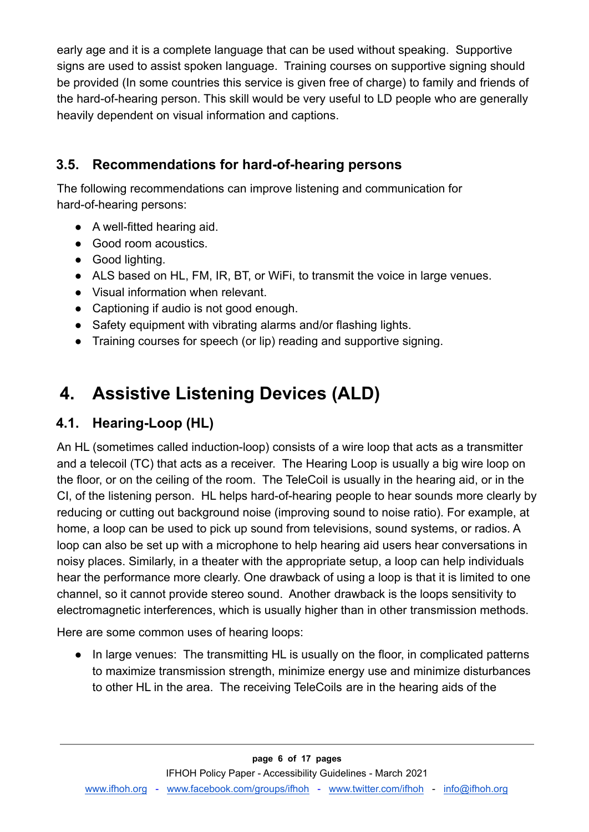early age and it is a complete language that can be used without speaking. Supportive signs are used to assist spoken language. Training courses on supportive signing should be provided (In some countries this service is given free of charge) to family and friends of the hard-of-hearing person. This skill would be very useful to LD people who are generally heavily dependent on visual information and captions.

### <span id="page-5-0"></span>**3.5. Recommendations for hard-of-hearing persons**

The following recommendations can improve listening and communication for hard-of-hearing persons:

- A well-fitted hearing aid.
- Good room acoustics.
- Good lighting.
- ALS based on HL, FM, IR, BT, or WiFi, to transmit the voice in large venues.
- Visual information when relevant.
- Captioning if audio is not good enough.
- Safety equipment with vibrating alarms and/or flashing lights.
- Training courses for speech (or lip) reading and supportive signing.

# <span id="page-5-1"></span>**4. Assistive Listening Devices (ALD)**

#### <span id="page-5-2"></span>**4.1. Hearing-Loop (HL)**

An HL (sometimes called induction-loop) consists of a wire loop that acts as a transmitter and a telecoil (TC) that acts as a receiver. The Hearing Loop is usually a big wire loop on the floor, or on the ceiling of the room. The TeleCoil is usually in the hearing aid, or in the CI, of the listening person. HL helps hard-of-hearing people to hear sounds more clearly by reducing or cutting out background noise (improving sound to noise ratio). For example, at home, a loop can be used to pick up sound from televisions, sound systems, or radios. A loop can also be set up with a microphone to help hearing aid users hear conversations in noisy places. Similarly, in a theater with the appropriate setup, a loop can help individuals hear the performance more clearly. One drawback of using a loop is that it is limited to one channel, so it cannot provide stereo sound. Another drawback is the loops sensitivity to electromagnetic interferences, which is usually higher than in other transmission methods.

Here are some common uses of hearing loops:

• In large venues: The transmitting HL is usually on the floor, in complicated patterns to maximize transmission strength, minimize energy use and minimize disturbances to other HL in the area. The receiving TeleCoils are in the hearing aids of the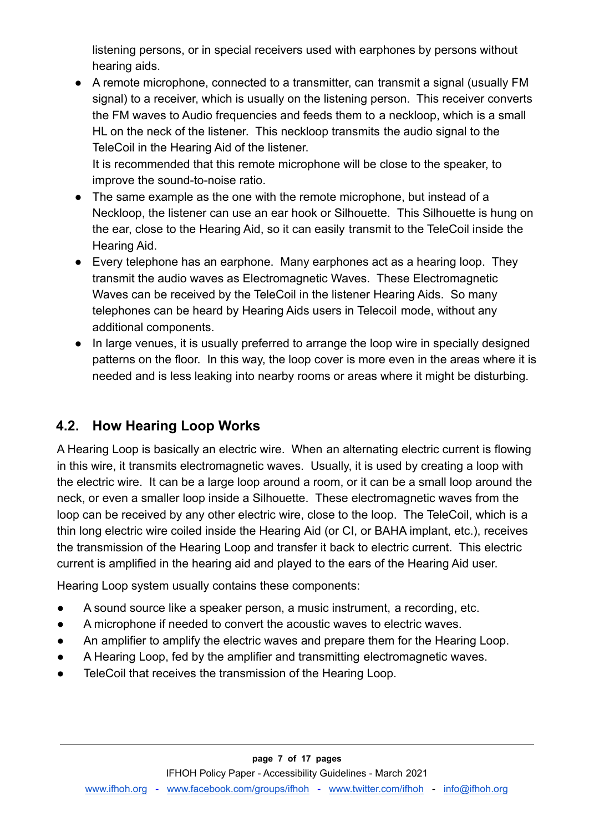listening persons, or in special receivers used with earphones by persons without hearing aids.

● A remote microphone, connected to a transmitter, can transmit a signal (usually FM signal) to a receiver, which is usually on the listening person. This receiver converts the FM waves to Audio frequencies and feeds them to a neckloop, which is a small HL on the neck of the listener. This neckloop transmits the audio signal to the TeleCoil in the Hearing Aid of the listener.

It is recommended that this remote microphone will be close to the speaker, to improve the sound-to-noise ratio.

- The same example as the one with the remote microphone, but instead of a Neckloop, the listener can use an ear hook or Silhouette. This Silhouette is hung on the ear, close to the Hearing Aid, so it can easily transmit to the TeleCoil inside the Hearing Aid.
- Every telephone has an earphone. Many earphones act as a hearing loop. They transmit the audio waves as Electromagnetic Waves. These Electromagnetic Waves can be received by the TeleCoil in the listener Hearing Aids. So many telephones can be heard by Hearing Aids users in Telecoil mode, without any additional components.
- In large venues, it is usually preferred to arrange the loop wire in specially designed patterns on the floor. In this way, the loop cover is more even in the areas where it is needed and is less leaking into nearby rooms or areas where it might be disturbing.

#### <span id="page-6-0"></span>**4.2. How Hearing Loop Works**

A Hearing Loop is basically an electric wire. When an alternating electric current is flowing in this wire, it transmits electromagnetic waves. Usually, it is used by creating a loop with the electric wire. It can be a large loop around a room, or it can be a small loop around the neck, or even a smaller loop inside a Silhouette. These electromagnetic waves from the loop can be received by any other electric wire, close to the loop. The TeleCoil, which is a thin long electric wire coiled inside the Hearing Aid (or CI, or BAHA implant, etc.), receives the transmission of the Hearing Loop and transfer it back to electric current. This electric current is amplified in the hearing aid and played to the ears of the Hearing Aid user.

Hearing Loop system usually contains these components:

- A sound source like a speaker person, a music instrument, a recording, etc.
- A microphone if needed to convert the acoustic waves to electric waves.
- An amplifier to amplify the electric waves and prepare them for the Hearing Loop.
- A Hearing Loop, fed by the amplifier and transmitting electromagnetic waves.
- TeleCoil that receives the transmission of the Hearing Loop.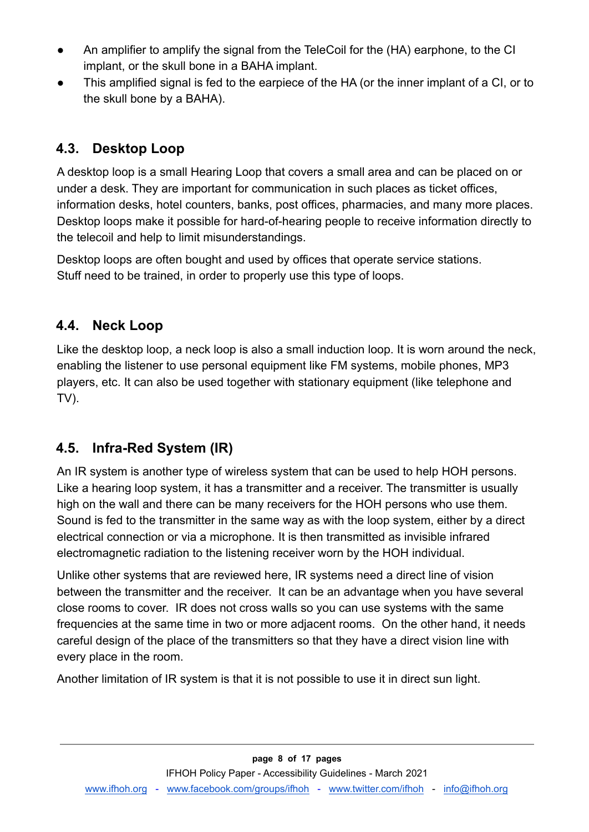- An amplifier to amplify the signal from the TeleCoil for the (HA) earphone, to the CI implant, or the skull bone in a BAHA implant.
- This amplified signal is fed to the earpiece of the HA (or the inner implant of a CI, or to the skull bone by a BAHA).

### <span id="page-7-0"></span>**4.3. Desktop Loop**

A desktop loop is a small Hearing Loop that covers a small area and can be placed on or under a desk. They are important for communication in such places as ticket offices, information desks, hotel counters, banks, post offices, pharmacies, and many more places. Desktop loops make it possible for hard-of-hearing people to receive information directly to the telecoil and help to limit misunderstandings.

Desktop loops are often bought and used by offices that operate service stations. Stuff need to be trained, in order to properly use this type of loops.

#### <span id="page-7-1"></span>**4.4. Neck Loop**

Like the desktop loop, a neck loop is also a small induction loop. It is worn around the neck, enabling the listener to use personal equipment like FM systems, mobile phones, MP3 players, etc. It can also be used together with stationary equipment (like telephone and TV).

#### <span id="page-7-2"></span>**4.5. Infra-Red System (IR)**

An IR system is another type of wireless system that can be used to help HOH persons. Like a hearing loop system, it has a transmitter and a receiver. The transmitter is usually high on the wall and there can be many receivers for the HOH persons who use them. Sound is fed to the transmitter in the same way as with the loop system, either by a direct electrical connection or via a microphone. It is then transmitted as invisible infrared electromagnetic radiation to the listening receiver worn by the HOH individual.

Unlike other systems that are reviewed here, IR systems need a direct line of vision between the transmitter and the receiver. It can be an advantage when you have several close rooms to cover. IR does not cross walls so you can use systems with the same frequencies at the same time in two or more adjacent rooms. On the other hand, it needs careful design of the place of the transmitters so that they have a direct vision line with every place in the room.

Another limitation of IR system is that it is not possible to use it in direct sun light.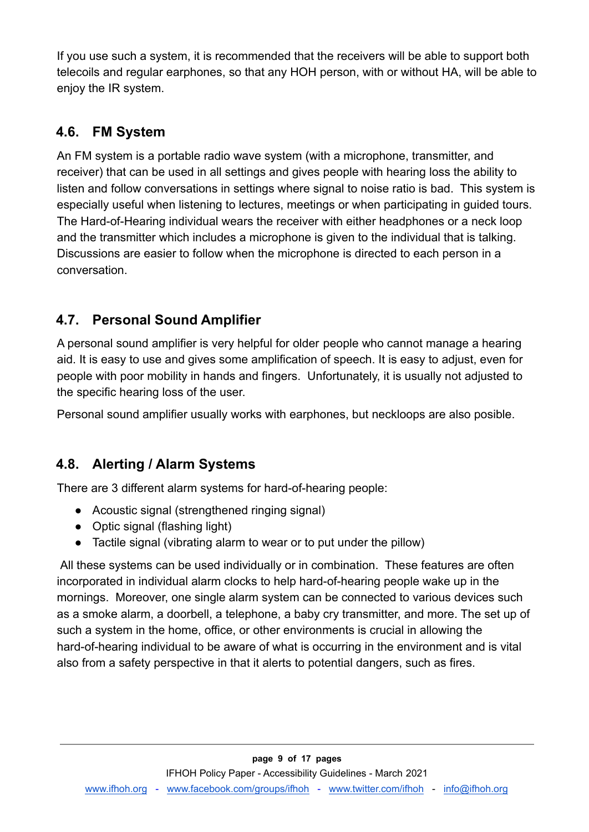If you use such a system, it is recommended that the receivers will be able to support both telecoils and regular earphones, so that any HOH person, with or without HA, will be able to enjoy the IR system.

### <span id="page-8-0"></span>**4.6. FM System**

An FM system is a portable radio wave system (with a microphone, transmitter, and receiver) that can be used in all settings and gives people with hearing loss the ability to listen and follow conversations in settings where signal to noise ratio is bad. This system is especially useful when listening to lectures, meetings or when participating in guided tours. The Hard-of-Hearing individual wears the receiver with either headphones or a neck loop and the transmitter which includes a microphone is given to the individual that is talking. Discussions are easier to follow when the microphone is directed to each person in a conversation.

### <span id="page-8-1"></span>**4.7. Personal Sound Amplifier**

A personal sound amplifier is very helpful for older people who cannot manage a hearing aid. It is easy to use and gives some amplification of speech. It is easy to adjust, even for people with poor mobility in hands and fingers. Unfortunately, it is usually not adjusted to the specific hearing loss of the user.

Personal sound amplifier usually works with earphones, but neckloops are also posible.

#### <span id="page-8-2"></span>**4.8. Alerting / Alarm Systems**

There are 3 different alarm systems for hard-of-hearing people:

- Acoustic signal (strengthened ringing signal)
- Optic signal (flashing light)
- Tactile signal (vibrating alarm to wear or to put under the pillow)

All these systems can be used individually or in combination. These features are often incorporated in individual alarm clocks to help hard-of-hearing people wake up in the mornings. Moreover, one single alarm system can be connected to various devices such as a smoke alarm, a doorbell, a telephone, a baby cry transmitter, and more. The set up of such a system in the home, office, or other environments is crucial in allowing the hard-of-hearing individual to be aware of what is occurring in the environment and is vital also from a safety perspective in that it alerts to potential dangers, such as fires.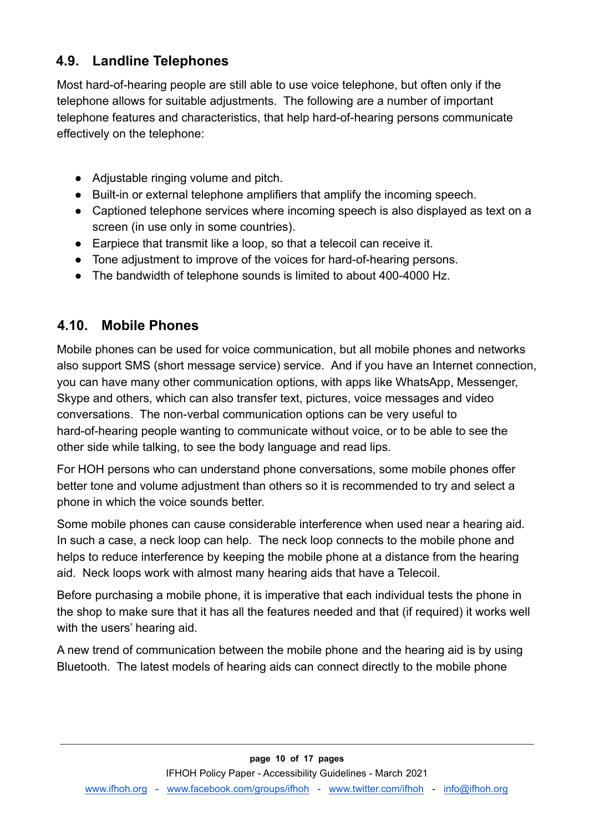#### <span id="page-9-0"></span>**4.9. Landline Telephones**

Most hard-of-hearing people are still able to use voice telephone, but often only if the telephone allows for suitable adjustments. The following are a number of important telephone features and characteristics, that help hard-of-hearing persons communicate effectively on the telephone:

- Adjustable ringing volume and pitch.
- Built-in or external telephone amplifiers that amplify the incoming speech.
- Captioned telephone services where incoming speech is also displayed as text on a screen (in use only in some countries).
- Earpiece that transmit like a loop, so that a telecoil can receive it.
- Tone adjustment to improve of the voices for hard-of-hearing persons.
- The bandwidth of telephone sounds is limited to about 400-4000 Hz.

#### <span id="page-9-1"></span>**4.10. Mobile Phones**

Mobile phones can be used for voice communication, but all mobile phones and networks also support SMS (short message service) service. And if you have an Internet connection, you can have many other communication options, with apps like WhatsApp, Messenger, Skype and others, which can also transfer text, pictures, voice messages and video conversations. The non-verbal communication options can be very useful to hard-of-hearing people wanting to communicate without voice, or to be able to see the other side while talking, to see the body language and read lips.

For HOH persons who can understand phone conversations, some mobile phones offer better tone and volume adjustment than others so it is recommended to try and select a phone in which the voice sounds better.

Some mobile phones can cause considerable interference when used near a hearing aid. In such a case, a neck loop can help. The neck loop connects to the mobile phone and helps to reduce interference by keeping the mobile phone at a distance from the hearing aid. Neck loops work with almost many hearing aids that have a Telecoil.

Before purchasing a mobile phone, it is imperative that each individual tests the phone in the shop to make sure that it has all the features needed and that (if required) it works well with the users' hearing aid.

A new trend of communication between the mobile phone and the hearing aid is by using Bluetooth. The latest models of hearing aids can connect directly to the mobile phone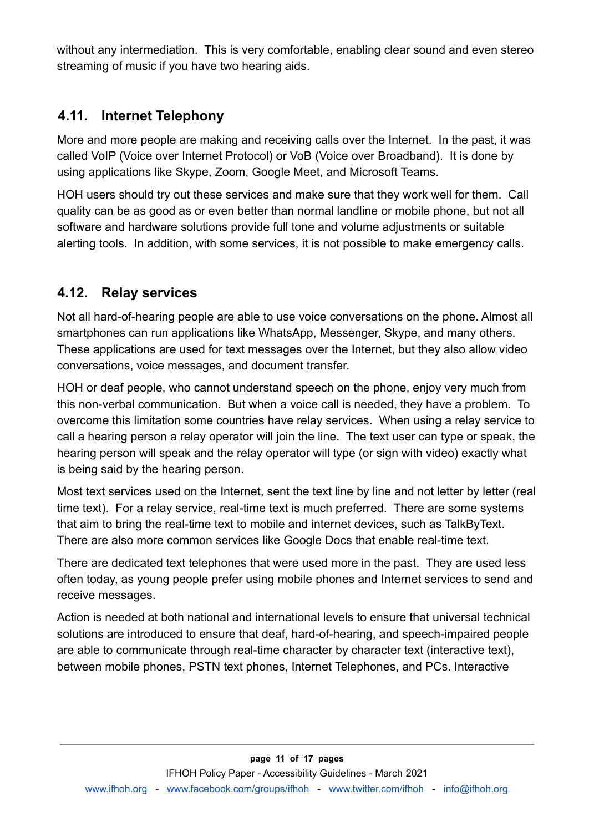without any intermediation. This is very comfortable, enabling clear sound and even stereo streaming of music if you have two hearing aids.

#### <span id="page-10-0"></span>**4.11. Internet Telephony**

More and more people are making and receiving calls over the Internet. In the past, it was called VoIP (Voice over Internet Protocol) or VoB (Voice over Broadband). It is done by using applications like Skype, Zoom, Google Meet, and Microsoft Teams.

HOH users should try out these services and make sure that they work well for them. Call quality can be as good as or even better than normal landline or mobile phone, but not all software and hardware solutions provide full tone and volume adjustments or suitable alerting tools. In addition, with some services, it is not possible to make emergency calls.

#### <span id="page-10-1"></span>**4.12. Relay services**

Not all hard-of-hearing people are able to use voice conversations on the phone. Almost all smartphones can run applications like WhatsApp, Messenger, Skype, and many others. These applications are used for text messages over the Internet, but they also allow video conversations, voice messages, and document transfer.

HOH or deaf people, who cannot understand speech on the phone, enjoy very much from this non-verbal communication. But when a voice call is needed, they have a problem. To overcome this limitation some countries have relay services. When using a relay service to call a hearing person a relay operator will join the line. The text user can type or speak, the hearing person will speak and the relay operator will type (or sign with video) exactly what is being said by the hearing person.

Most text services used on the Internet, sent the text line by line and not letter by letter (real time text). For a relay service, real-time text is much preferred. There are some systems that aim to bring the real-time text to mobile and internet devices, such as TalkByText. There are also more common services like Google Docs that enable real-time text.

There are dedicated text telephones that were used more in the past. They are used less often today, as young people prefer using mobile phones and Internet services to send and receive messages.

Action is needed at both national and international levels to ensure that universal technical solutions are introduced to ensure that deaf, hard-of-hearing, and speech-impaired people are able to communicate through real-time character by character text (interactive text), between mobile phones, PSTN text phones, Internet Telephones, and PCs. Interactive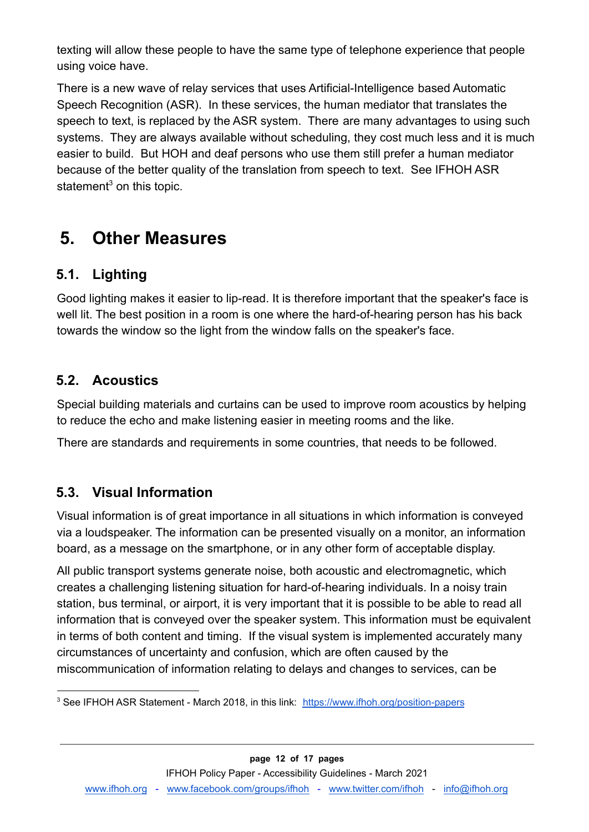texting will allow these people to have the same type of telephone experience that people using voice have.

There is a new wave of relay services that uses Artificial-Intelligence based Automatic Speech Recognition (ASR). In these services, the human mediator that translates the speech to text, is replaced by the ASR system. There are many advantages to using such systems. They are always available without scheduling, they cost much less and it is much easier to build. But HOH and deaf persons who use them still prefer a human mediator because of the better quality of the translation from speech to text. See IFHOH ASR statement<sup>3</sup> on this topic.

## <span id="page-11-0"></span>**5. Other Measures**

#### <span id="page-11-1"></span>**5.1. Lighting**

Good lighting makes it easier to lip-read. It is therefore important that the speaker's face is well lit. The best position in a room is one where the hard-of-hearing person has his back towards the window so the light from the window falls on the speaker's face.

#### <span id="page-11-2"></span>**5.2. Acoustics**

Special building materials and curtains can be used to improve room acoustics by helping to reduce the echo and make listening easier in meeting rooms and the like.

There are standards and requirements in some countries, that needs to be followed.

#### <span id="page-11-3"></span>**5.3. Visual Information**

Visual information is of great importance in all situations in which information is conveyed via a loudspeaker. The information can be presented visually on a monitor, an information board, as a message on the smartphone, or in any other form of acceptable display.

All public transport systems generate noise, both acoustic and electromagnetic, which creates a challenging listening situation for hard-of-hearing individuals. In a noisy train station, bus terminal, or airport, it is very important that it is possible to be able to read all information that is conveyed over the speaker system. This information must be equivalent in terms of both content and timing. If the visual system is implemented accurately many circumstances of uncertainty and confusion, which are often caused by the miscommunication of information relating to delays and changes to services, can be

<sup>&</sup>lt;sup>3</sup> See IFHOH ASR Statement - March 2018, in this link: <https://www.ifhoh.org/position-papers>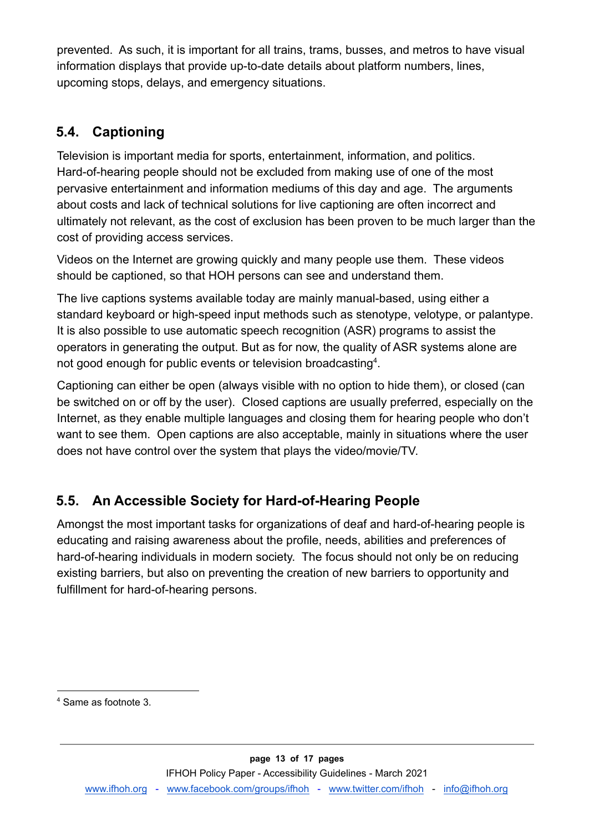prevented. As such, it is important for all trains, trams, busses, and metros to have visual information displays that provide up-to-date details about platform numbers, lines, upcoming stops, delays, and emergency situations.

### <span id="page-12-0"></span>**5.4. Captioning**

Television is important media for sports, entertainment, information, and politics. Hard-of-hearing people should not be excluded from making use of one of the most pervasive entertainment and information mediums of this day and age. The arguments about costs and lack of technical solutions for live captioning are often incorrect and ultimately not relevant, as the cost of exclusion has been proven to be much larger than the cost of providing access services.

Videos on the Internet are growing quickly and many people use them. These videos should be captioned, so that HOH persons can see and understand them.

The live captions systems available today are mainly manual-based, using either a standard keyboard or high-speed input methods such as stenotype, velotype, or palantype. It is also possible to use automatic speech recognition (ASR) programs to assist the operators in generating the output. But as for now, the quality of ASR systems alone are not good enough for public events or television broadcasting<sup>4</sup>.

Captioning can either be open (always visible with no option to hide them), or closed (can be switched on or off by the user). Closed captions are usually preferred, especially on the Internet, as they enable multiple languages and closing them for hearing people who don't want to see them. Open captions are also acceptable, mainly in situations where the user does not have control over the system that plays the video/movie/TV.

### <span id="page-12-1"></span>**5.5. An Accessible Society for Hard-of-Hearing People**

Amongst the most important tasks for organizations of deaf and hard-of-hearing people is educating and raising awareness about the profile, needs, abilities and preferences of hard-of-hearing individuals in modern society. The focus should not only be on reducing existing barriers, but also on preventing the creation of new barriers to opportunity and fulfillment for hard-of-hearing persons.

<sup>4</sup> Same as footnote 3.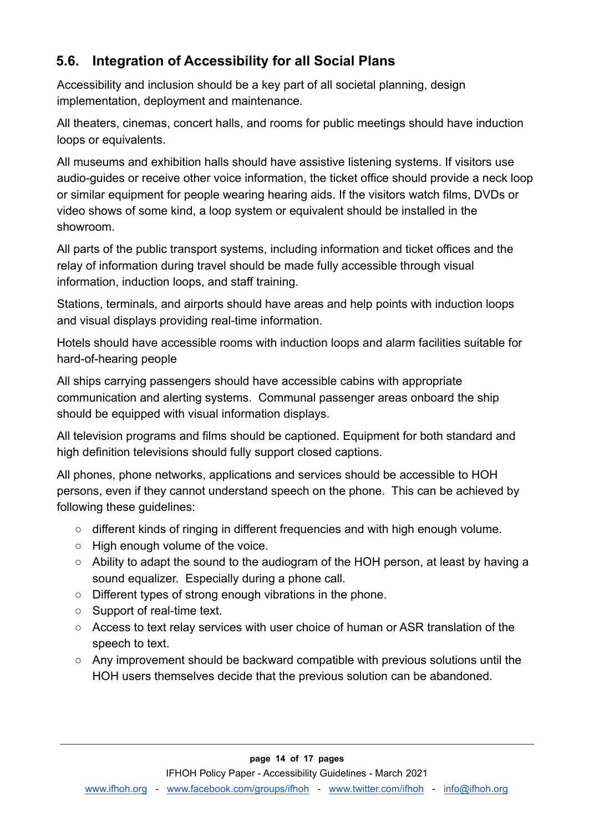### <span id="page-13-0"></span>**5.6. Integration of Accessibility for all Social Plans**

Accessibility and inclusion should be a key part of all societal planning, design implementation, deployment and maintenance.

All theaters, cinemas, concert halls, and rooms for public meetings should have induction loops or equivalents.

All museums and exhibition halls should have assistive listening systems. If visitors use audio-guides or receive other voice information, the ticket office should provide a neck loop or similar equipment for people wearing hearing aids. If the visitors watch films, DVDs or video shows of some kind, a loop system or equivalent should be installed in the showroom.

All parts of the public transport systems, including information and ticket offices and the relay of information during travel should be made fully accessible through visual information, induction loops, and staff training.

Stations, terminals, and airports should have areas and help points with induction loops and visual displays providing real-time information.

Hotels should have accessible rooms with induction loops and alarm facilities suitable for hard-of-hearing people

All ships carrying passengers should have accessible cabins with appropriate communication and alerting systems. Communal passenger areas onboard the ship should be equipped with visual information displays.

All television programs and films should be captioned. Equipment for both standard and high definition televisions should fully support closed captions.

All phones, phone networks, applications and services should be accessible to HOH persons, even if they cannot understand speech on the phone. This can be achieved by following these guidelines:

- different kinds of ringing in different frequencies and with high enough volume.
- High enough volume of the voice.
- Ability to adapt the sound to the audiogram of the HOH person, at least by having a sound equalizer. Especially during a phone call.
- Different types of strong enough vibrations in the phone.
- Support of real-time text.
- Access to text relay services with user choice of human or ASR translation of the speech to text.
- Any improvement should be backward compatible with previous solutions until the HOH users themselves decide that the previous solution can be abandoned.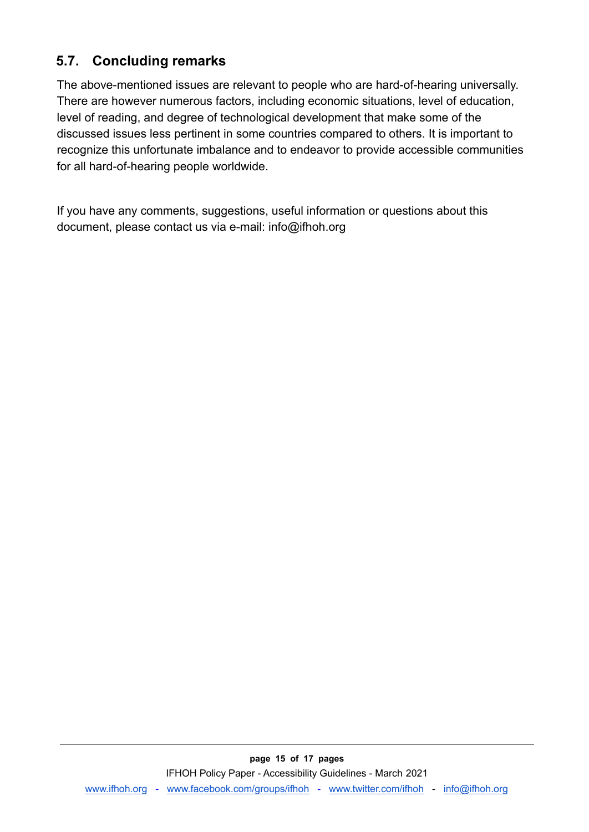### <span id="page-14-0"></span>**5.7. Concluding remarks**

The above-mentioned issues are relevant to people who are hard-of-hearing universally. There are however numerous factors, including economic situations, level of education, level of reading, and degree of technological development that make some of the discussed issues less pertinent in some countries compared to others. It is important to recognize this unfortunate imbalance and to endeavor to provide accessible communities for all hard-of-hearing people worldwide.

If you have any comments, suggestions, useful information or questions about this document, please contact us via e-mail: info@ifhoh.org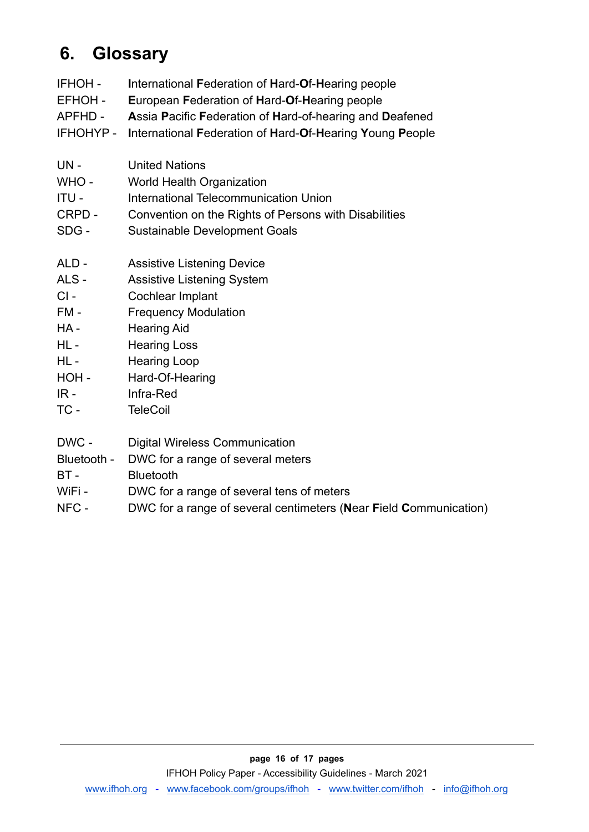# <span id="page-15-0"></span>**6. Glossary**

- IFHOH **I**nternational **F**ederation of **H**ard-**O**f-**H**earing people
- EFHOH **E**uropean **F**ederation of **H**ard-**O**f-**H**earing people
- APFHD **A**ssia **P**acific **F**ederation of **H**ard-of-hearing and **D**eafened
- IFHOHYP **I**nternational **F**ederation of **H**ard-**O**f-**H**earing **Y**oung **P**eople
- UN United Nations
- WHO World Health Organization
- ITU International Telecommunication Union
- CRPD Convention on the Rights of Persons with Disabilities
- SDG Sustainable Development Goals
- ALD Assistive Listening Device
- ALS Assistive Listening System
- CI Cochlear Implant
- FM Frequency Modulation
- HA Hearing Aid
- HL Hearing Loss
- HL Hearing Loop
- HOH Hard-Of-Hearing
- IR Infra-Red
- TC TeleCoil
- DWC Digital Wireless Communication
- Bluetooth DWC for a range of several meters
- BT Bluetooth
- WiFi DWC for a range of several tens of meters
- NFC DWC for a range of several centimeters (**N**ear **F**ield **C**ommunication)